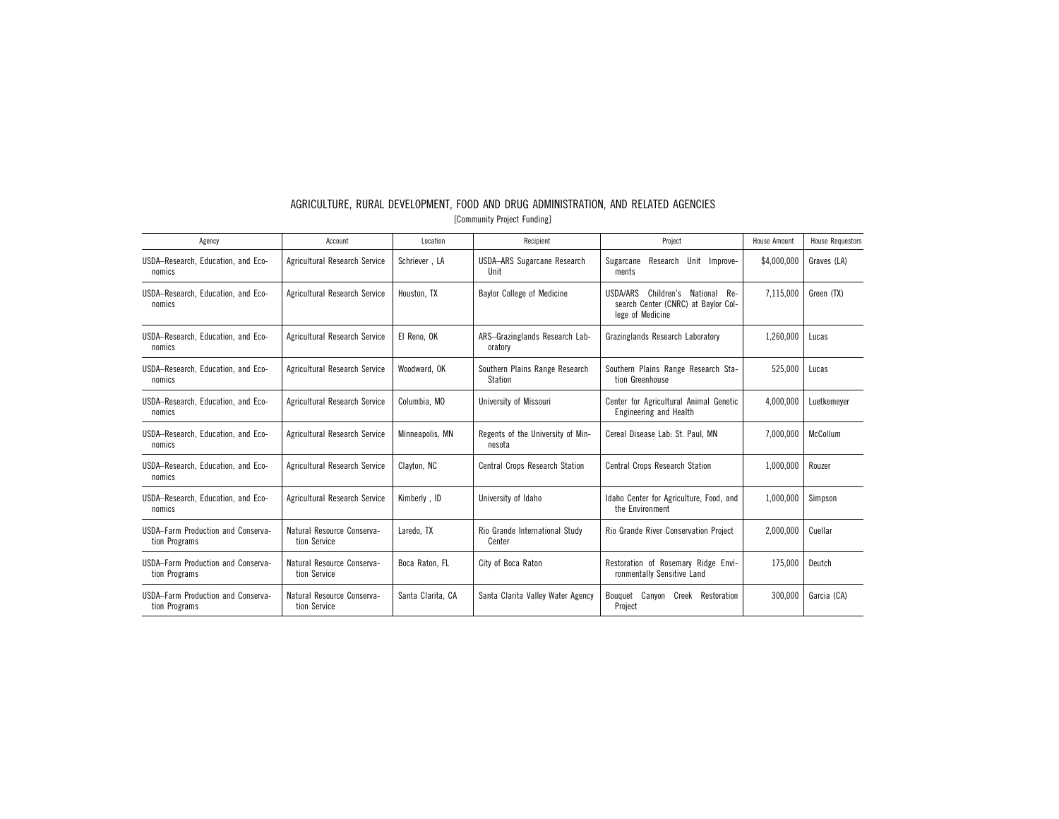| Agency                                              | Account                                    | Location          | Recipient                                   | Project                                                                                              | <b>House Amount</b> | <b>House Requestors</b> |
|-----------------------------------------------------|--------------------------------------------|-------------------|---------------------------------------------|------------------------------------------------------------------------------------------------------|---------------------|-------------------------|
| USDA-Research, Education, and Eco-<br>nomics        | Agricultural Research Service              | Schriever, LA     | <b>USDA-ARS Sugarcane Research</b><br>Unit  | Research Unit<br>Sugarcane<br>Improve-<br>ments                                                      | \$4,000,000         | Graves (LA)             |
| USDA-Research, Education, and Eco-<br>nomics        | Agricultural Research Service              | Houston, TX       | <b>Baylor College of Medicine</b>           | USDA/ARS<br>Children's<br>National<br>Re-<br>search Center (CNRC) at Baylor Col-<br>lege of Medicine | 7.115.000           | Green (TX)              |
| USDA-Research, Education, and Eco-<br>nomics        | Agricultural Research Service              | El Reno, OK       | ARS-Grazinglands Research Lab-<br>oratory   | Grazinglands Research Laboratory                                                                     | 1,260,000           | Lucas                   |
| USDA-Research, Education, and Eco-<br>nomics        | Agricultural Research Service              | Woodward, OK      | Southern Plains Range Research<br>Station   | Southern Plains Range Research Sta-<br>tion Greenhouse                                               | 525,000             | Lucas                   |
| USDA-Research, Education, and Eco-<br>nomics        | Agricultural Research Service              | Columbia, MO      | University of Missouri                      | Center for Agricultural Animal Genetic<br>Engineering and Health                                     | 4.000.000           | Luetkemever             |
| USDA-Research, Education, and Eco-<br>nomics        | Agricultural Research Service              | Minneapolis, MN   | Regents of the University of Min-<br>nesota | Cereal Disease Lab: St. Paul. MN                                                                     | 7,000,000           | McCollum                |
| USDA-Research, Education, and Eco-<br>nomics        | Agricultural Research Service              | Clayton, NC       | <b>Central Crops Research Station</b>       | <b>Central Crops Research Station</b>                                                                | 1,000,000           | Rouzer                  |
| USDA-Research, Education, and Eco-<br>nomics        | Agricultural Research Service              | Kimberly, ID      | University of Idaho                         | Idaho Center for Agriculture, Food, and<br>the Environment                                           | 1.000.000           | Simpson                 |
| USDA-Farm Production and Conserva-<br>tion Programs | Natural Resource Conserva-<br>tion Service | Laredo. TX        | Rio Grande International Study<br>Center    | Rio Grande River Conservation Project                                                                | 2.000.000           | Cuellar                 |
| USDA-Farm Production and Conserva-<br>tion Programs | Natural Resource Conserva-<br>tion Service | Boca Raton, FL    | City of Boca Raton                          | Restoration of Rosemary Ridge Envi-<br>ronmentally Sensitive Land                                    | 175.000             | Deutch                  |
| USDA-Farm Production and Conserva-<br>tion Programs | Natural Resource Conserva-<br>tion Service | Santa Clarita, CA | Santa Clarita Valley Water Agency           | Bouquet Canvon<br>Creek<br>Restoration<br>Project                                                    | 300.000             | Garcia (CA)             |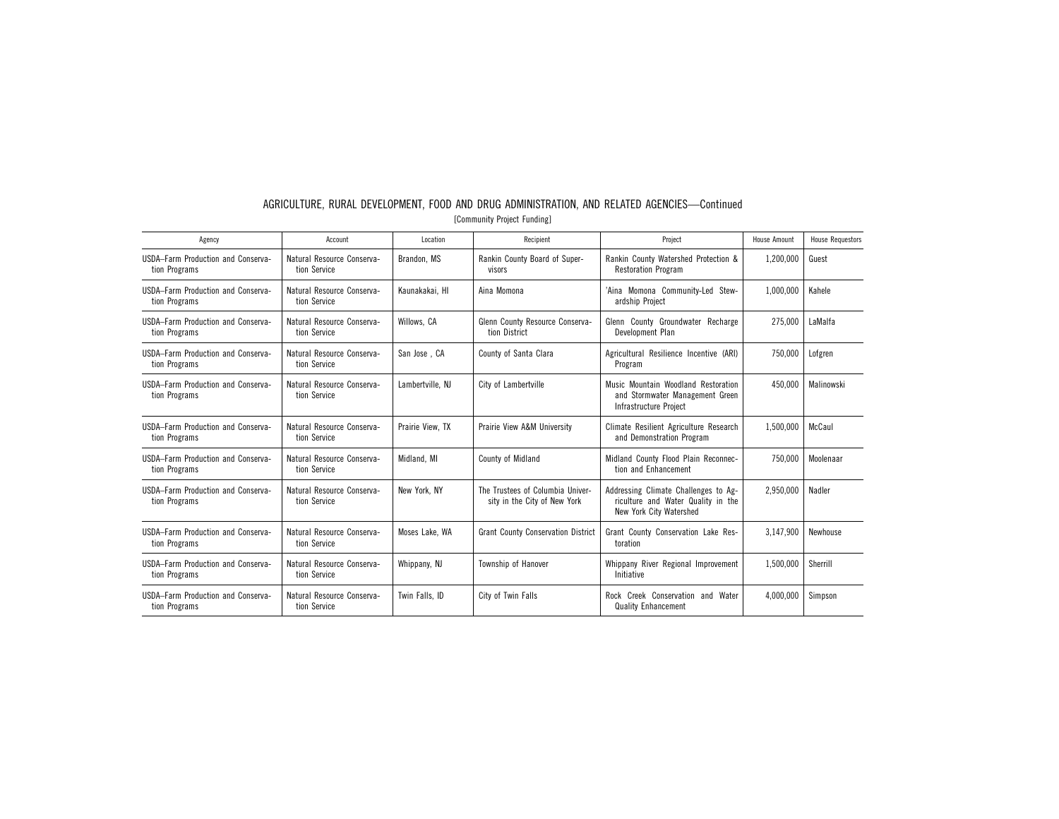| Agency                                                     | Account                                    | Location         | Recipient                                                        | Project                                                                                               | <b>House Amount</b> | <b>House Requestors</b> |
|------------------------------------------------------------|--------------------------------------------|------------------|------------------------------------------------------------------|-------------------------------------------------------------------------------------------------------|---------------------|-------------------------|
| USDA-Farm Production and Conserva-<br>tion Programs        | Natural Resource Conserva-<br>tion Service | Brandon, MS      | Rankin County Board of Super-<br>visors                          | Rankin County Watershed Protection &<br><b>Restoration Program</b>                                    | 1.200.000           | Guest                   |
| USDA-Farm Production and Conserva-<br>tion Programs        | Natural Resource Conserva-<br>tion Service | Kaunakakai. HI   | Aina Momona                                                      | 'Aina Momona Community-Led Stew-<br>ardship Project                                                   | 1.000.000           | Kahele                  |
| USDA-Farm Production and Conserva-<br>tion Programs        | Natural Resource Conserva-<br>tion Service | Willows, CA      | Glenn County Resource Conserva-<br>tion District                 | Glenn County Groundwater Recharge<br>Development Plan                                                 | 275.000             | LaMalfa                 |
| <b>USDA-Farm Production and Conserva-</b><br>tion Programs | Natural Resource Conserva-<br>tion Service | San Jose, CA     | County of Santa Clara                                            | Agricultural Resilience Incentive (ARI)<br>Program                                                    | 750.000             | Lofgren                 |
| USDA-Farm Production and Conserva-<br>tion Programs        | Natural Resource Conserva-<br>tion Service | Lambertville, NJ | City of Lambertville                                             | Music Mountain Woodland Restoration<br>and Stormwater Management Green<br>Infrastructure Project      | 450.000             | Malinowski              |
| USDA-Farm Production and Conserva-<br>tion Programs        | Natural Resource Conserva-<br>tion Service | Prairie View. TX | Prairie View A&M University                                      | Climate Resilient Agriculture Research<br>and Demonstration Program                                   | 1,500,000           | McCaul                  |
| USDA-Farm Production and Conserva-<br>tion Programs        | Natural Resource Conserva-<br>tion Service | Midland, MI      | <b>County of Midland</b>                                         | Midland County Flood Plain Reconnec-<br>tion and Enhancement                                          | 750.000             | Moolenaar               |
| USDA-Farm Production and Conserva-<br>tion Programs        | Natural Resource Conserva-<br>tion Service | New York, NY     | The Trustees of Columbia Univer-<br>sity in the City of New York | Addressing Climate Challenges to Ag-<br>riculture and Water Quality in the<br>New York City Watershed | 2.950.000           | Nadler                  |
| USDA-Farm Production and Conserva-<br>tion Programs        | Natural Resource Conserva-<br>tion Service | Moses Lake, WA   | <b>Grant County Conservation District</b>                        | Grant County Conservation Lake Res-<br>toration                                                       | 3.147.900           | Newhouse                |
| USDA-Farm Production and Conserva-<br>tion Programs        | Natural Resource Conserva-<br>tion Service | Whippany, NJ     | Township of Hanover                                              | Whippany River Regional Improvement<br>Initiative                                                     | 1.500.000           | Sherrill                |
| USDA-Farm Production and Conserva-<br>tion Programs        | Natural Resource Conserva-<br>tion Service | Twin Falls, ID   | City of Twin Falls                                               | Rock Creek Conservation and Water<br><b>Quality Enhancement</b>                                       | 4.000.000           | Simpson                 |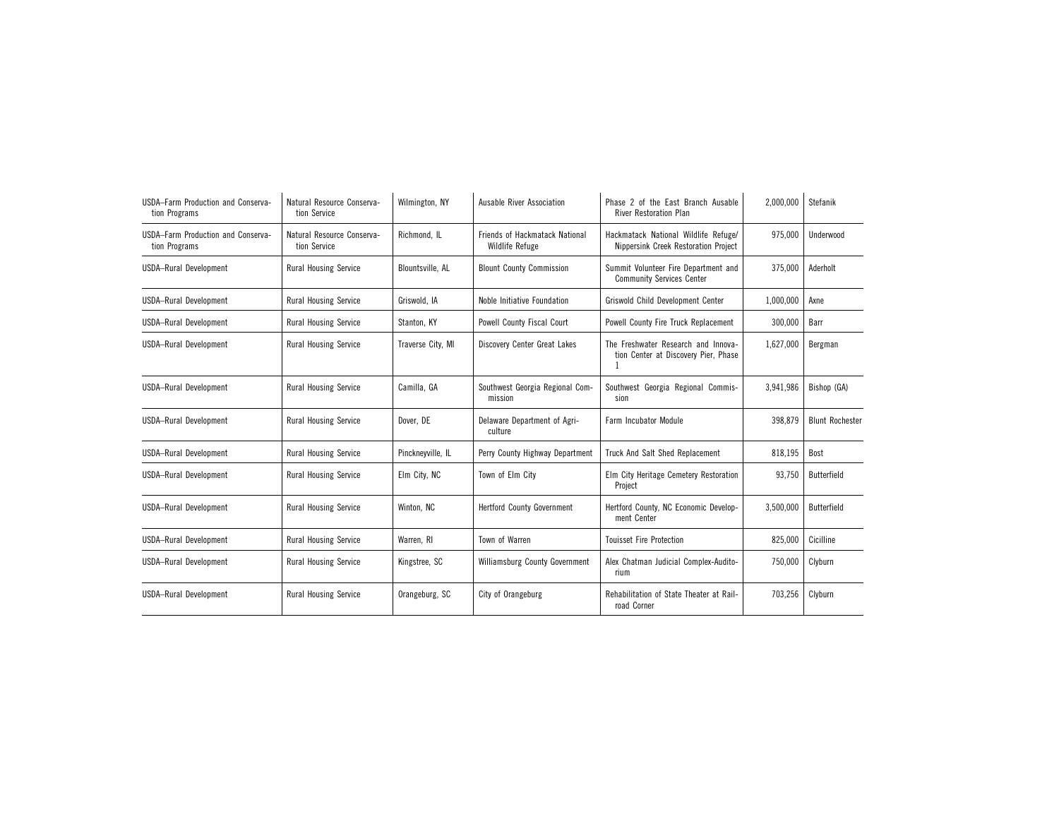| USDA-Farm Production and Conserva-<br>tion Programs | Natural Resource Conserva-<br>tion Service | Wilmington, NY          | Ausable River Association                                       | Phase 2 of the East Branch Ausable<br><b>River Restoration Plan</b>          | 2.000.000 | Stefanik               |
|-----------------------------------------------------|--------------------------------------------|-------------------------|-----------------------------------------------------------------|------------------------------------------------------------------------------|-----------|------------------------|
| USDA-Farm Production and Conserva-<br>tion Programs | Natural Resource Conserva-<br>tion Service | Richmond, IL            | <b>Friends of Hackmatack National</b><br><b>Wildlife Refuge</b> | Hackmatack National Wildlife Refuge/<br>Nippersink Creek Restoration Project | 975,000   | Underwood              |
| <b>USDA-Rural Development</b>                       | <b>Rural Housing Service</b>               | <b>Blountsville, AL</b> | <b>Blount County Commission</b>                                 | Summit Volunteer Fire Department and<br><b>Community Services Center</b>     | 375,000   | Aderholt               |
| <b>USDA-Rural Development</b>                       | <b>Rural Housing Service</b>               | Griswold, IA            | Noble Initiative Foundation                                     | Griswold Child Development Center                                            | 1,000,000 | Axne                   |
| USDA-Rural Development                              | <b>Rural Housing Service</b>               | Stanton, KY             | Powell County Fiscal Court                                      | Powell County Fire Truck Replacement                                         | 300,000   | Barr                   |
| <b>USDA-Rural Development</b>                       | <b>Rural Housing Service</b>               | Traverse City, MI       | Discovery Center Great Lakes                                    | The Freshwater Research and Innova-<br>tion Center at Discovery Pier, Phase  | 1,627,000 | Bergman                |
| USDA-Rural Development                              | <b>Rural Housing Service</b>               | Camilla, GA             | Southwest Georgia Regional Com-<br>mission                      | Southwest Georgia Regional Commis-<br>sion                                   | 3,941,986 | Bishop (GA)            |
| <b>USDA-Rural Development</b>                       | <b>Rural Housing Service</b>               | Dover, DE               | Delaware Department of Agri-<br>culture                         | <b>Farm Incubator Module</b>                                                 | 398,879   | <b>Blunt Rochester</b> |
| <b>USDA-Rural Development</b>                       | <b>Rural Housing Service</b>               | Pinckneyville, IL       | Perry County Highway Department                                 | Truck And Salt Shed Replacement                                              | 818.195   | Bost                   |
| <b>USDA-Rural Development</b>                       | <b>Rural Housing Service</b>               | Elm City, NC            | Town of Elm City                                                | Elm City Heritage Cemetery Restoration<br>Project                            | 93,750    | Butterfield            |
| <b>USDA-Rural Development</b>                       | <b>Rural Housing Service</b>               | Winton, NC              | <b>Hertford County Government</b>                               | Hertford County, NC Economic Develop-<br>ment Center                         | 3,500,000 | Butterfield            |
| <b>USDA-Rural Development</b>                       | <b>Rural Housing Service</b>               | Warren, RI              | Town of Warren                                                  | <b>Touisset Fire Protection</b>                                              | 825,000   | Cicilline              |
| USDA-Rural Development                              | <b>Rural Housing Service</b>               | Kingstree, SC           | Williamsburg County Government                                  | Alex Chatman Judicial Complex-Audito-<br>rium                                | 750,000   | Clyburn                |
| USDA-Rural Development                              | <b>Rural Housing Service</b>               | Orangeburg, SC          | City of Orangeburg                                              | Rehabilitation of State Theater at Rail-<br>road Corner                      | 703,256   | Clyburn                |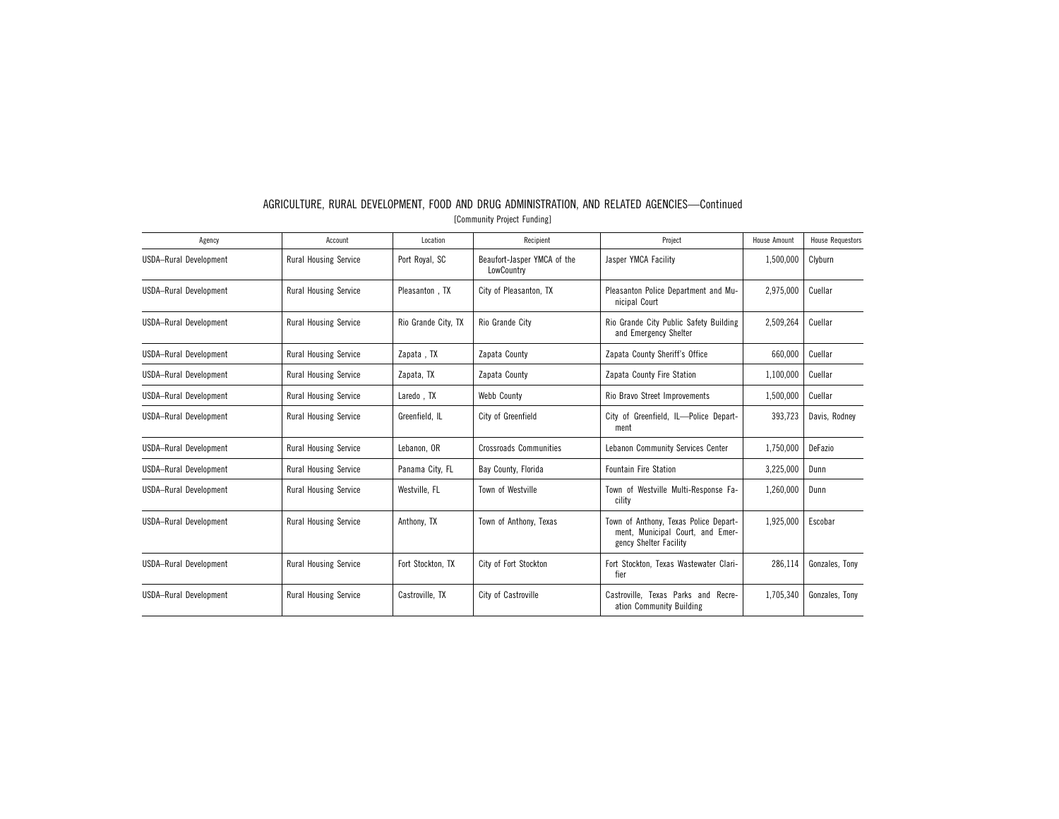| Agency                        | Account                      | Location            | Recipient                                 | Project                                                                                             | <b>House Amount</b> | <b>House Requestors</b> |
|-------------------------------|------------------------------|---------------------|-------------------------------------------|-----------------------------------------------------------------------------------------------------|---------------------|-------------------------|
| <b>USDA-Rural Development</b> | <b>Rural Housing Service</b> | Port Royal, SC      | Beaufort-Jasper YMCA of the<br>LowCountry | Jasper YMCA Facility                                                                                | 1,500,000           | Clyburn                 |
| USDA-Rural Development        | <b>Rural Housing Service</b> | Pleasanton, TX      | City of Pleasanton, TX                    | Pleasanton Police Department and Mu-<br>nicipal Court                                               | 2.975.000           | Cuellar                 |
| <b>USDA-Rural Development</b> | Rural Housing Service        | Rio Grande City. TX | Rio Grande City                           | Rio Grande City Public Safety Building<br>and Emergency Shelter                                     | 2,509,264           | Cuellar                 |
| <b>USDA-Rural Development</b> | <b>Rural Housing Service</b> | Zapata, TX          | Zapata County                             | Zapata County Sheriff's Office                                                                      | 660,000             | Cuellar                 |
| USDA-Rural Development        | <b>Rural Housing Service</b> | Zapata, TX          | Zapata County                             | Zapata County Fire Station                                                                          | 1,100,000           | Cuellar                 |
| USDA-Rural Development        | <b>Rural Housing Service</b> | Laredo, TX          | Webb County                               | Rio Bravo Street Improvements                                                                       | 1,500,000           | Cuellar                 |
| <b>USDA-Rural Development</b> | Rural Housing Service        | Greenfield, IL      | City of Greenfield                        | City of Greenfield, IL-Police Depart-<br>ment                                                       | 393,723             | Davis, Rodney           |
| USDA-Rural Development        | <b>Rural Housing Service</b> | Lebanon, OR         | <b>Crossroads Communities</b>             | Lebanon Community Services Center                                                                   | 1,750,000           | DeFazio                 |
| <b>USDA-Rural Development</b> | <b>Rural Housing Service</b> | Panama City, FL     | Bay County, Florida                       | <b>Fountain Fire Station</b>                                                                        | 3,225,000           | Dunn                    |
| <b>USDA-Rural Development</b> | <b>Rural Housing Service</b> | Westville, FL       | Town of Westville                         | Town of Westville Multi-Response Fa-<br>cility                                                      | 1,260,000           | Dunn                    |
| <b>USDA-Rural Development</b> | Rural Housing Service        | Anthony, TX         | Town of Anthony, Texas                    | Town of Anthony, Texas Police Depart-<br>ment, Municipal Court, and Emer-<br>gency Shelter Facility | 1,925,000           | Escobar                 |
| <b>USDA-Rural Development</b> | <b>Rural Housing Service</b> | Fort Stockton, TX   | City of Fort Stockton                     | Fort Stockton, Texas Wastewater Clari-<br>fier                                                      | 286.114             | Gonzales. Tony          |
| <b>USDA-Rural Development</b> | <b>Rural Housing Service</b> | Castroville, TX     | City of Castroville                       | Castroville. Texas Parks and Recre-<br>ation Community Building                                     | 1,705,340           | Gonzales, Tony          |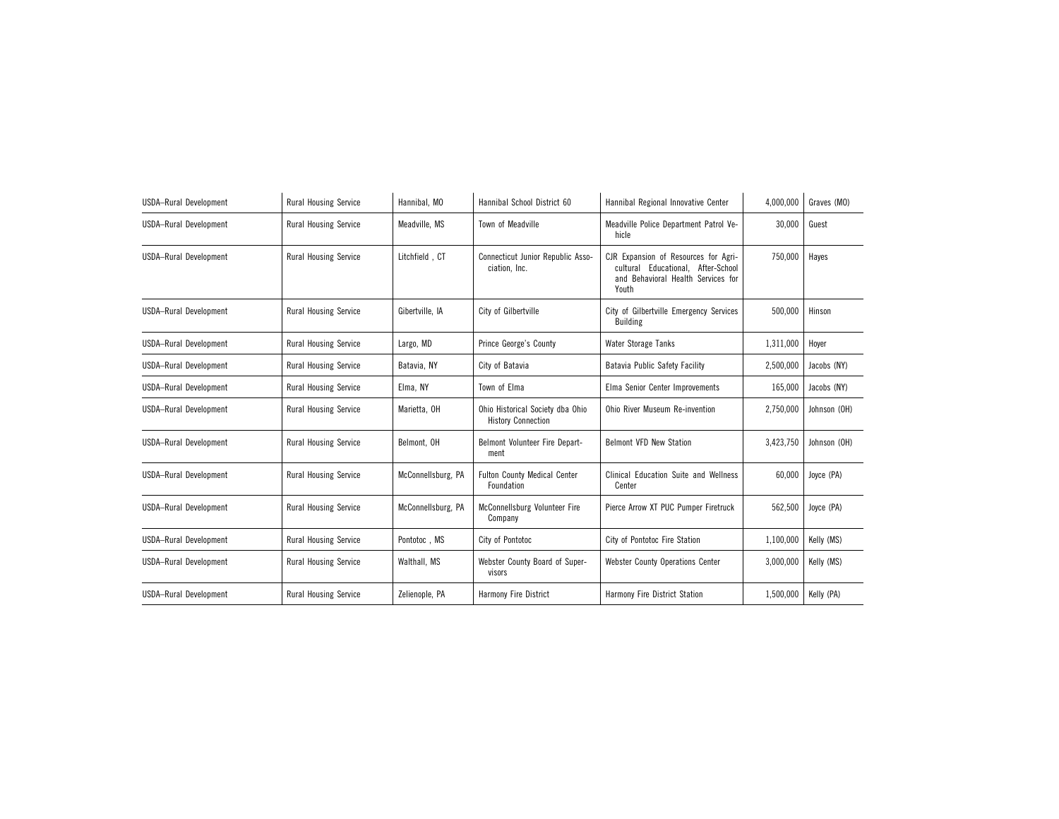| <b>USDA-Rural Development</b> | <b>Rural Housing Service</b> | Hannibal, MO       | Hannibal School District 60                                   | Hannibal Regional Innovative Center                                                                                       | 4,000,000 | Graves (MO)  |
|-------------------------------|------------------------------|--------------------|---------------------------------------------------------------|---------------------------------------------------------------------------------------------------------------------------|-----------|--------------|
| <b>USDA-Rural Development</b> | <b>Rural Housing Service</b> | Meadville, MS      | Town of Meadville                                             | Meadville Police Department Patrol Ve-<br>hicle                                                                           | 30,000    | Guest        |
| <b>USDA-Rural Development</b> | <b>Rural Housing Service</b> | Litchfield, CT     | Connecticut Junior Republic Asso-<br>ciation, Inc.            | CJR Expansion of Resources for Agri-<br>cultural Educational, After-School<br>and Behavioral Health Services for<br>Youth | 750,000   | Hayes        |
| <b>USDA-Rural Development</b> | <b>Rural Housing Service</b> | Gibertville, IA    | City of Gilbertville                                          | City of Gilbertville Emergency Services<br><b>Building</b>                                                                | 500,000   | Hinson       |
| USDA-Rural Development        | <b>Rural Housing Service</b> | Largo, MD          | Prince George's County                                        | <b>Water Storage Tanks</b>                                                                                                | 1,311,000 | Hover        |
| <b>USDA-Rural Development</b> | <b>Rural Housing Service</b> | Batavia. NY        | City of Batavia                                               | Batavia Public Safety Facility                                                                                            | 2,500,000 | Jacobs (NY)  |
| <b>USDA-Rural Development</b> | <b>Rural Housing Service</b> | Elma, NY           | Town of Elma                                                  | Elma Senior Center Improvements                                                                                           | 165,000   | Jacobs (NY)  |
| <b>USDA-Rural Development</b> | <b>Rural Housing Service</b> | Marietta, OH       | Ohio Historical Society dba Ohio<br><b>History Connection</b> | <b>Ohio River Museum Re-invention</b>                                                                                     | 2,750,000 | Johnson (OH) |
| <b>USDA-Rural Development</b> | <b>Rural Housing Service</b> | Belmont, OH        | Belmont Volunteer Fire Depart-<br>ment                        | <b>Belmont VFD New Station</b>                                                                                            | 3,423,750 | Johnson (OH) |
| <b>USDA-Rural Development</b> | <b>Rural Housing Service</b> | McConnellsburg, PA | <b>Fulton County Medical Center</b><br>Foundation             | Clinical Education Suite and Wellness<br>Center                                                                           | 60,000    | Joyce (PA)   |
| <b>USDA-Rural Development</b> | <b>Rural Housing Service</b> | McConnellsburg, PA | McConnellsburg Volunteer Fire<br>Company                      | Pierce Arrow XT PUC Pumper Firetruck                                                                                      | 562,500   | Joyce (PA)   |
| <b>USDA-Rural Development</b> | <b>Rural Housing Service</b> | Pontotoc, MS       | City of Pontotoc                                              | City of Pontotoc Fire Station                                                                                             | 1,100,000 | Kelly (MS)   |
| <b>USDA-Rural Development</b> | <b>Rural Housing Service</b> | Walthall, MS       | Webster County Board of Super-<br>visors                      | <b>Webster County Operations Center</b>                                                                                   | 3,000,000 | Kelly (MS)   |
| USDA-Rural Development        | <b>Rural Housing Service</b> | Zelienople, PA     | <b>Harmony Fire District</b>                                  | Harmony Fire District Station                                                                                             | 1,500,000 | Kelly (PA)   |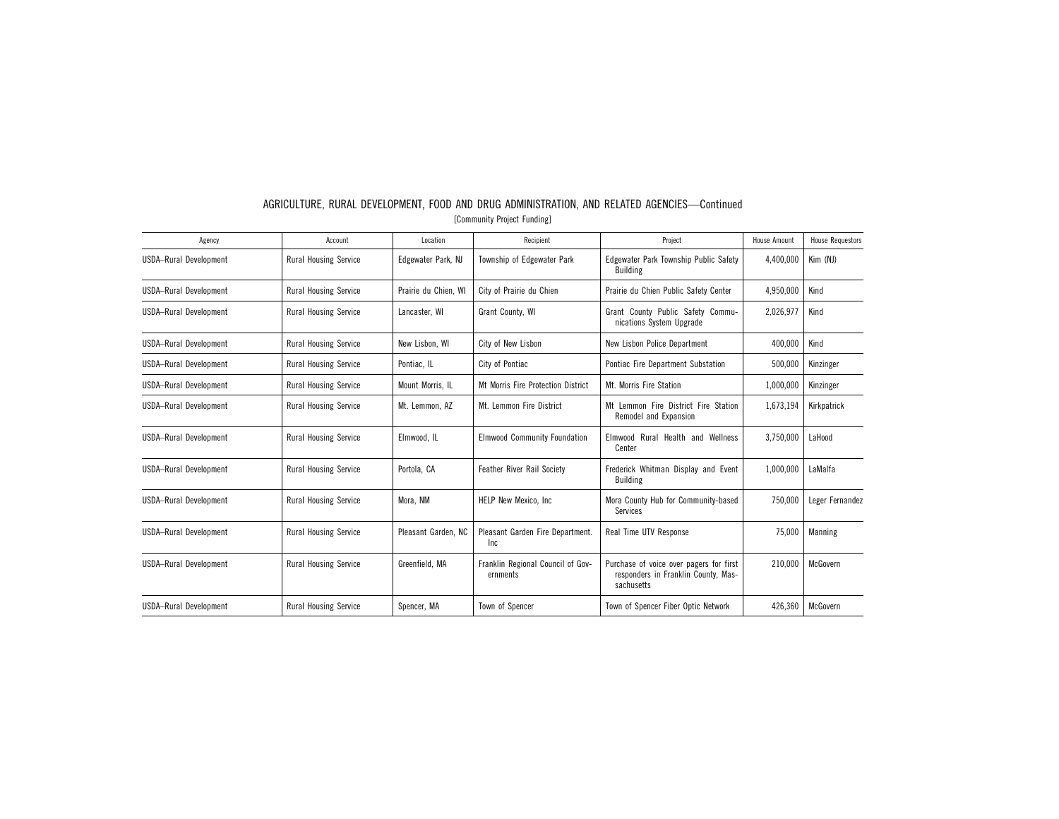| Agency                        | Account                      | Location             | Recipient                                     | Project                                                                                      | <b>House Amount</b> | <b>House Requestors</b> |
|-------------------------------|------------------------------|----------------------|-----------------------------------------------|----------------------------------------------------------------------------------------------|---------------------|-------------------------|
| <b>USDA-Rural Development</b> | <b>Rural Housing Service</b> | Edgewater Park, NJ   | Township of Edgewater Park                    | Edgewater Park Township Public Safety<br><b>Building</b>                                     | 4,400,000           | Kim (NJ)                |
| <b>USDA-Rural Development</b> | Rural Housing Service        | Prairie du Chien, WI | City of Prairie du Chien                      | Prairie du Chien Public Safety Center                                                        | 4,950,000           | Kind                    |
| USDA-Rural Development        | <b>Rural Housing Service</b> | Lancaster. WI        | Grant County, WI                              | Grant County Public Safety Commu-<br>nications System Upgrade                                | 2,026,977           | Kind                    |
| <b>USDA-Rural Development</b> | <b>Rural Housing Service</b> | New Lisbon, WI       | City of New Lisbon                            | New Lisbon Police Department                                                                 | 400,000             | Kind                    |
| <b>USDA-Rural Development</b> | <b>Rural Housing Service</b> | Pontiac, IL          | City of Pontiac                               | Pontiac Fire Department Substation                                                           | 500,000             | Kinzinger               |
| <b>USDA-Rural Development</b> | Rural Housing Service        | Mount Morris, IL     | Mt Morris Fire Protection District            | Mt. Morris Fire Station                                                                      | 1,000,000           | Kinzinger               |
| <b>USDA-Rural Development</b> | Rural Housing Service        | Mt. Lemmon, AZ       | Mt. Lemmon Fire District                      | Mt Lemmon Fire District Fire Station<br>Remodel and Expansion                                | 1,673,194           | Kirkpatrick             |
| <b>USDA-Rural Development</b> | Rural Housing Service        | Elmwood, IL          | <b>Elmwood Community Foundation</b>           | Elmwood Rural Health and Wellness<br>Center                                                  | 3,750,000           | LaHood                  |
| USDA-Rural Development        | <b>Rural Housing Service</b> | Portola, CA          | <b>Feather River Rail Society</b>             | Frederick Whitman Display and Event<br><b>Building</b>                                       | 1,000,000           | LaMalfa                 |
| USDA-Rural Development        | <b>Rural Housing Service</b> | Mora, NM             | HELP New Mexico, Inc.                         | Mora County Hub for Community-based<br>Services                                              | 750.000             | Leger Fernandez         |
| <b>USDA-Rural Development</b> | Rural Housing Service        | Pleasant Garden, NC  | Pleasant Garden Fire Department.<br>Inc       | Real Time UTV Response                                                                       | 75.000              | <b>Manning</b>          |
| <b>USDA-Rural Development</b> | Rural Housing Service        | Greenfield, MA       | Franklin Regional Council of Gov-<br>ernments | Purchase of voice over pagers for first<br>responders in Franklin County, Mas-<br>sachusetts | 210.000             | McGovern                |
| <b>USDA-Rural Development</b> | <b>Rural Housing Service</b> | Spencer, MA          | Town of Spencer                               | Town of Spencer Fiber Optic Network                                                          | 426,360             | McGovern                |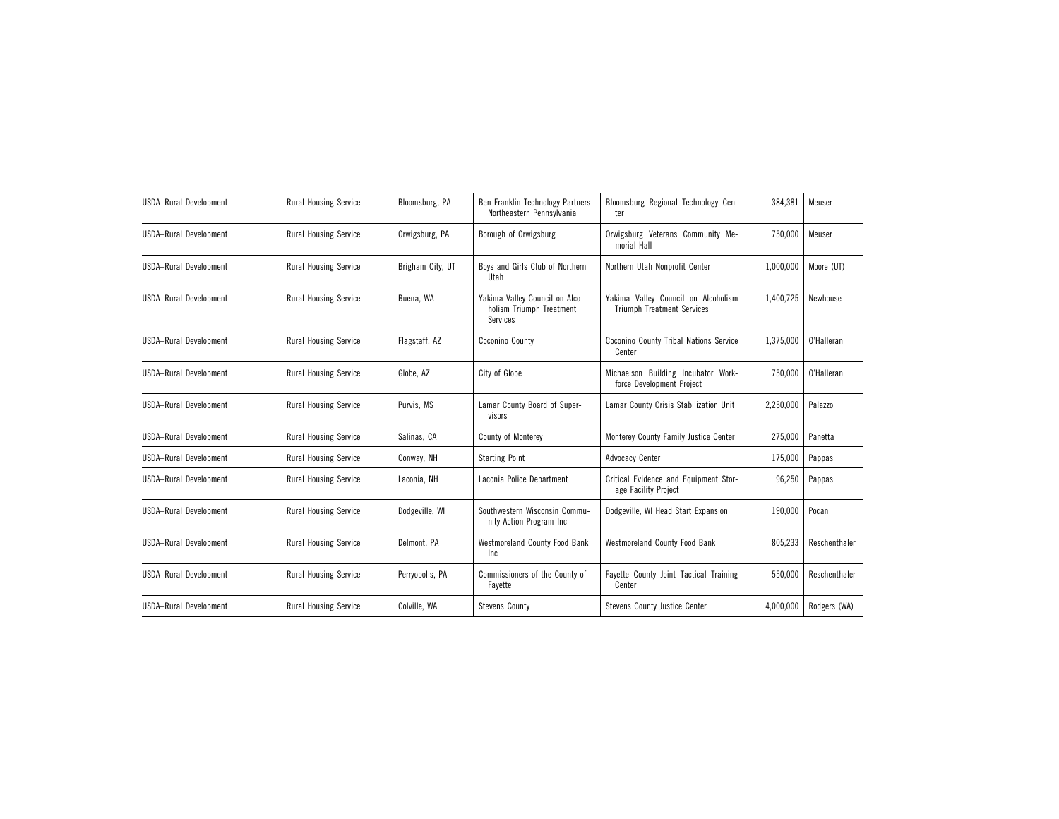| <b>USDA-Rural Development</b> | <b>Rural Housing Service</b> | Bloomsburg, PA   | Ben Franklin Technology Partners<br>Northeastern Pennsylvania          | Bloomsburg Regional Technology Cen-<br>ter                               | 384,381   | Meuser        |
|-------------------------------|------------------------------|------------------|------------------------------------------------------------------------|--------------------------------------------------------------------------|-----------|---------------|
| USDA-Rural Development        | <b>Rural Housing Service</b> | Orwigsburg, PA   | Borough of Orwigsburg                                                  | Orwigsburg Veterans Community Me-<br>morial Hall                         | 750,000   | Meuser        |
| USDA-Rural Development        | <b>Rural Housing Service</b> | Brigham City, UT | Boys and Girls Club of Northern<br>Utah                                | Northern Utah Nonprofit Center                                           | 1,000,000 | Moore (UT)    |
| <b>USDA-Rural Development</b> | <b>Rural Housing Service</b> | Buena, WA        | Yakima Valley Council on Alco-<br>holism Triumph Treatment<br>Services | Yakima Valley Council on Alcoholism<br><b>Triumph Treatment Services</b> | 1.400.725 | Newhouse      |
| <b>USDA-Rural Development</b> | <b>Rural Housing Service</b> | Flagstaff, AZ    | Coconino County                                                        | Coconino County Tribal Nations Service<br>Center                         | 1,375,000 | 0'Halleran    |
| <b>USDA-Rural Development</b> | <b>Rural Housing Service</b> | Globe, AZ        | City of Globe                                                          | Michaelson Building Incubator Work-<br>force Development Project         | 750,000   | O'Halleran    |
| USDA-Rural Development        | <b>Rural Housing Service</b> | Purvis, MS       | Lamar County Board of Super-<br>visors                                 | Lamar County Crisis Stabilization Unit                                   | 2,250,000 | Palazzo       |
| USDA-Rural Development        | <b>Rural Housing Service</b> | Salinas, CA      | <b>County of Monterey</b>                                              | Monterey County Family Justice Center                                    | 275,000   | Panetta       |
| <b>USDA-Rural Development</b> | <b>Rural Housing Service</b> | Conway, NH       | <b>Starting Point</b>                                                  | Advocacy Center                                                          | 175,000   | Pappas        |
| USDA-Rural Development        | <b>Rural Housing Service</b> | Laconia, NH      | Laconia Police Department                                              | Critical Evidence and Equipment Stor-<br>age Facility Project            | 96,250    | Pappas        |
| USDA-Rural Development        | <b>Rural Housing Service</b> | Dodgeville, WI   | Southwestern Wisconsin Commu-<br>nity Action Program Inc               | Dodgeville, WI Head Start Expansion                                      | 190,000   | Pocan         |
| <b>USDA-Rural Development</b> | <b>Rural Housing Service</b> | Delmont, PA      | Westmoreland County Food Bank<br>Inc                                   | <b>Westmoreland County Food Bank</b>                                     | 805,233   | Reschenthaler |
| <b>USDA-Rural Development</b> | <b>Rural Housing Service</b> | Perryopolis, PA  | Commissioners of the County of<br>Fayette                              | Fayette County Joint Tactical Training<br>Center                         | 550,000   | Reschenthaler |
| USDA-Rural Development        | <b>Rural Housing Service</b> | Colville, WA     | <b>Stevens County</b>                                                  | Stevens County Justice Center                                            | 4,000,000 | Rodgers (WA)  |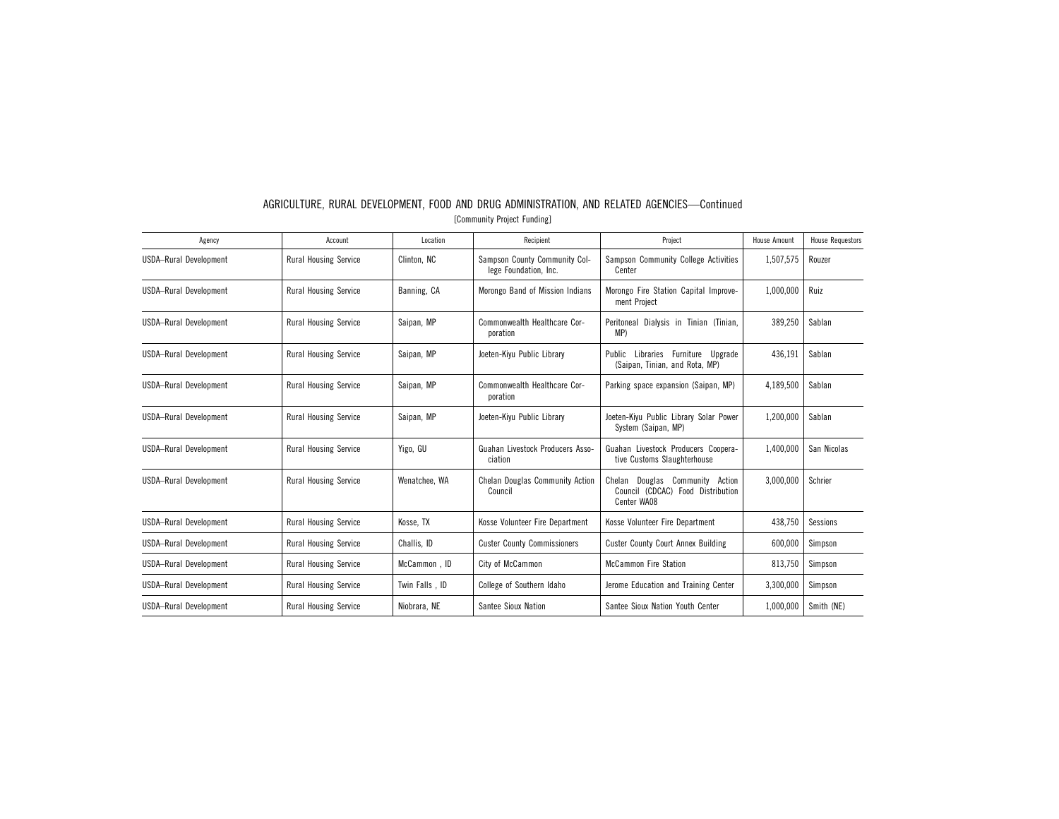| Agency                        | Account                      | Location       | Recipient                                              | Project                                                                                   | <b>House Amount</b> | <b>House Requestors</b> |
|-------------------------------|------------------------------|----------------|--------------------------------------------------------|-------------------------------------------------------------------------------------------|---------------------|-------------------------|
| USDA-Rural Development        | <b>Rural Housing Service</b> | Clinton, NC    | Sampson County Community Col-<br>lege Foundation, Inc. | Sampson Community College Activities<br>Center                                            | 1,507,575           | Rouzer                  |
| <b>USDA-Rural Development</b> | <b>Rural Housing Service</b> | Banning, CA    | Morongo Band of Mission Indians                        | Morongo Fire Station Capital Improve-<br>ment Project                                     | 1,000,000           | Ruiz                    |
| <b>USDA-Rural Development</b> | <b>Rural Housing Service</b> | Saipan, MP     | Commonwealth Healthcare Cor-<br>poration               | Peritoneal Dialysis in Tinian (Tinian,<br>MP                                              | 389,250             | Sablan                  |
| <b>USDA-Rural Development</b> | Rural Housing Service        | Saipan, MP     | Joeten-Kiyu Public Library                             | Furniture Upgrade<br>Public<br>Libraries<br>(Saipan, Tinian, and Rota, MP)                | 436,191             | Sablan                  |
| <b>USDA-Rural Development</b> | <b>Rural Housing Service</b> | Saipan, MP     | Commonwealth Healthcare Cor-<br>poration               | Parking space expansion (Saipan, MP)                                                      | 4,189,500           | Sablan                  |
| USDA-Rural Development        | <b>Rural Housing Service</b> | Saipan, MP     | Joeten-Kiyu Public Library                             | Joeten-Kiyu Public Library Solar Power<br>System (Saipan, MP)                             | 1,200,000           | Sablan                  |
| USDA-Rural Development        | <b>Rural Housing Service</b> | Yigo, GU       | Guahan Livestock Producers Asso-<br>ciation            | Guahan Livestock Producers Coopera-<br>tive Customs Slaughterhouse                        | 1.400.000           | San Nicolas             |
| USDA-Rural Development        | <b>Rural Housing Service</b> | Wenatchee, WA  | Chelan Douglas Community Action<br>Council             | Community<br>Chelan Douglas<br>Action<br>Council (CDCAC) Food Distribution<br>Center WA08 | 3.000.000           | Schrier                 |
| USDA-Rural Development        | <b>Rural Housing Service</b> | Kosse, TX      | Kosse Volunteer Fire Department                        | Kosse Volunteer Fire Department                                                           | 438,750             | Sessions                |
| USDA-Rural Development        | <b>Rural Housing Service</b> | Challis, ID    | <b>Custer County Commissioners</b>                     | <b>Custer County Court Annex Building</b>                                                 | 600,000             | Simpson                 |
| <b>USDA-Rural Development</b> | Rural Housing Service        | McCammon, ID   | City of McCammon                                       | <b>McCammon Fire Station</b>                                                              | 813,750             | Simpson                 |
| USDA-Rural Development        | Rural Housing Service        | Twin Falls, ID | College of Southern Idaho                              | Jerome Education and Training Center                                                      | 3,300,000           | Simpson                 |
| USDA-Rural Development        | <b>Rural Housing Service</b> | Niobrara, NE   | Santee Sioux Nation                                    | Santee Sioux Nation Youth Center                                                          | 1,000,000           | Smith (NE)              |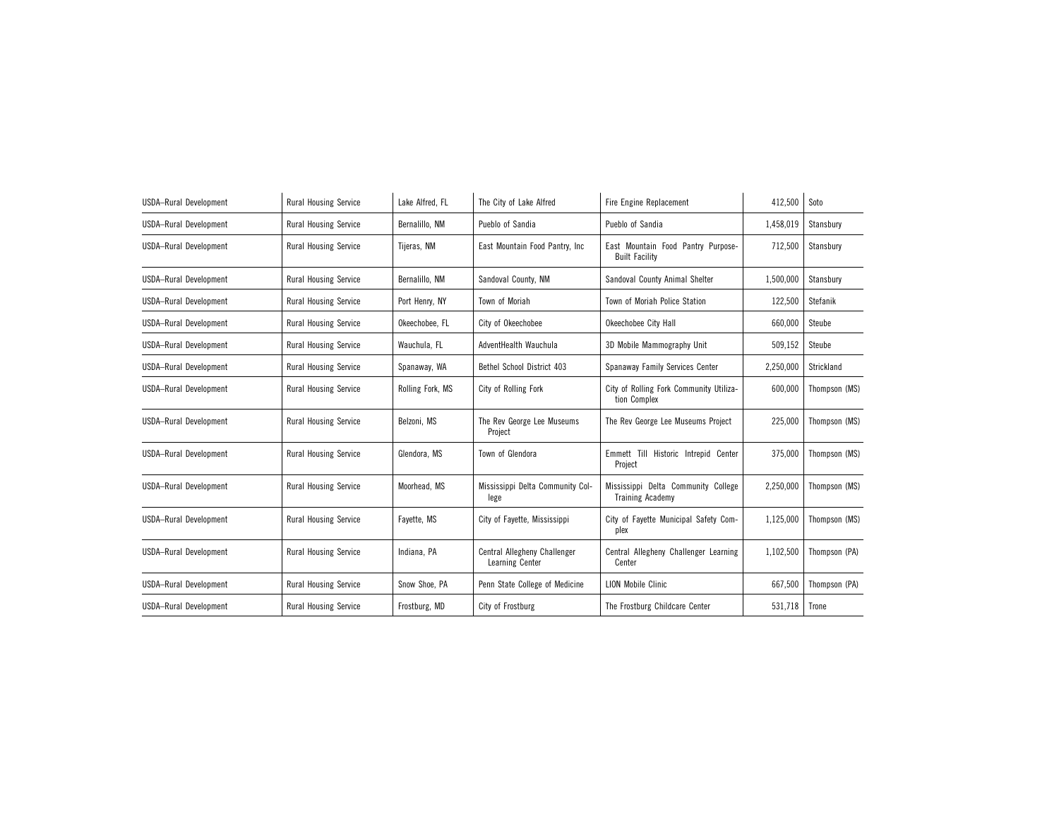| USDA-Rural Development        | <b>Rural Housing Service</b> | Lake Alfred. FL  | The City of Lake Alfred                         | Fire Engine Replacement                                        | 412,500   | Soto          |
|-------------------------------|------------------------------|------------------|-------------------------------------------------|----------------------------------------------------------------|-----------|---------------|
| <b>USDA-Rural Development</b> | <b>Rural Housing Service</b> | Bernalillo, NM   | Pueblo of Sandia                                | Pueblo of Sandia                                               | 1,458,019 | Stansbury     |
| <b>USDA-Rural Development</b> | <b>Rural Housing Service</b> | Tijeras, NM      | East Mountain Food Pantry, Inc.                 | East Mountain Food Pantry Purpose-<br><b>Built Facility</b>    | 712,500   | Stansbury     |
| USDA-Rural Development        | <b>Rural Housing Service</b> | Bernalillo, NM   | Sandoval County, NM                             | Sandoval County Animal Shelter                                 | 1,500,000 | Stansbury     |
| USDA-Rural Development        | <b>Rural Housing Service</b> | Port Henry, NY   | Town of Moriah                                  | Town of Moriah Police Station                                  | 122,500   | Stefanik      |
| <b>USDA-Rural Development</b> | <b>Rural Housing Service</b> | Okeechobee. FL   | City of Okeechobee                              | Okeechobee City Hall                                           | 660,000   | Steube        |
| USDA-Rural Development        | <b>Rural Housing Service</b> | Wauchula, FL     | AdventHealth Wauchula                           | 3D Mobile Mammography Unit                                     | 509,152   | Steube        |
| <b>USDA-Rural Development</b> | <b>Rural Housing Service</b> | Spanaway, WA     | Bethel School District 403                      | Spanaway Family Services Center                                | 2,250,000 | Strickland    |
| <b>USDA-Rural Development</b> | <b>Rural Housing Service</b> | Rolling Fork, MS | City of Rolling Fork                            | City of Rolling Fork Community Utiliza-<br>tion Complex        | 600,000   | Thompson (MS) |
| <b>USDA-Rural Development</b> | <b>Rural Housing Service</b> | Belzoni, MS      | The Rev George Lee Museums<br>Project           | The Rev George Lee Museums Project                             | 225,000   | Thompson (MS) |
| <b>USDA-Rural Development</b> | <b>Rural Housing Service</b> | Glendora, MS     | Town of Glendora                                | Emmett Till Historic Intrepid Center<br>Project                | 375,000   | Thompson (MS) |
| USDA-Rural Development        | <b>Rural Housing Service</b> | Moorhead, MS     | Mississippi Delta Community Col-<br>lege        | Mississippi Delta Community College<br><b>Training Academy</b> | 2,250,000 | Thompson (MS) |
| <b>USDA-Rural Development</b> | <b>Rural Housing Service</b> | Fayette, MS      | City of Fayette, Mississippi                    | City of Fayette Municipal Safety Com-<br>plex                  | 1,125,000 | Thompson (MS) |
| <b>USDA-Rural Development</b> | Rural Housing Service        | Indiana, PA      | Central Allegheny Challenger<br>Learning Center | Central Allegheny Challenger Learning<br>Center                | 1,102,500 | Thompson (PA) |
| <b>USDA-Rural Development</b> | Rural Housing Service        | Snow Shoe, PA    | Penn State College of Medicine                  | <b>LION Mobile Clinic</b>                                      | 667,500   | Thompson (PA) |
| <b>USDA-Rural Development</b> | Rural Housing Service        | Frostburg, MD    | City of Frostburg                               | The Frostburg Childcare Center                                 | 531,718   | Trone         |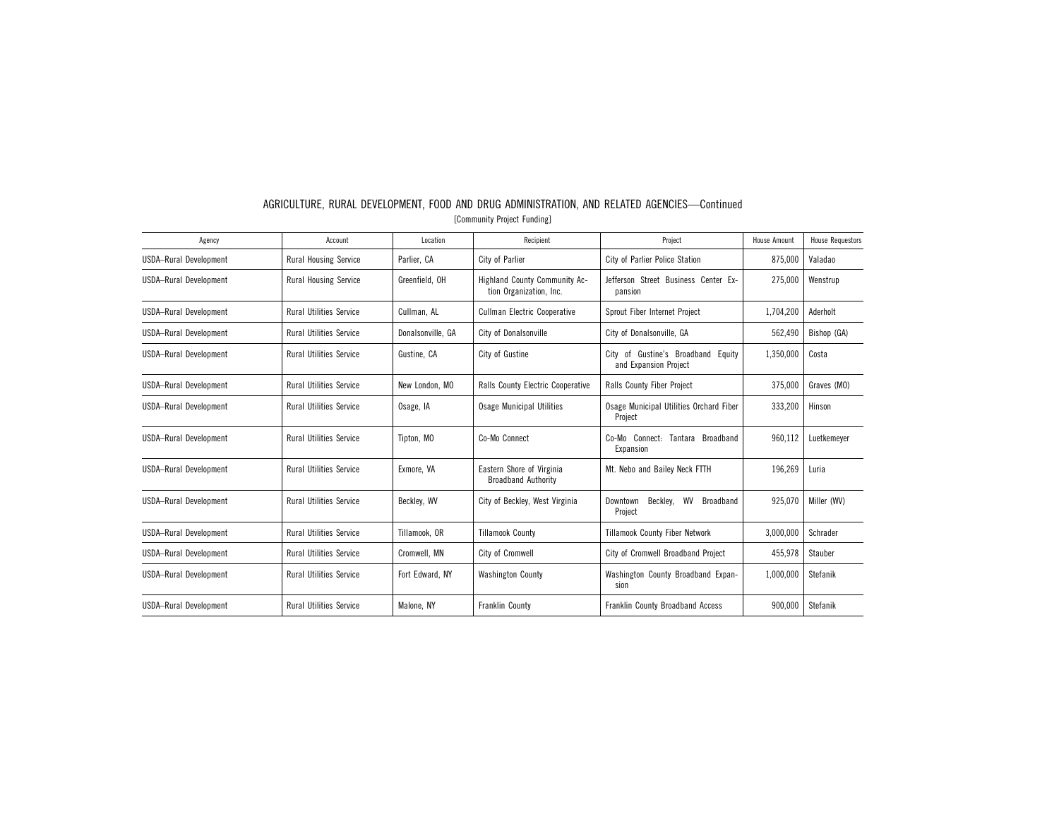| Agency                        | Account                        | Location          | Recipient                                                | Project                                                     | <b>House Amount</b> | <b>House Requestors</b> |
|-------------------------------|--------------------------------|-------------------|----------------------------------------------------------|-------------------------------------------------------------|---------------------|-------------------------|
| USDA-Rural Development        | <b>Rural Housing Service</b>   | Parlier, CA       | City of Parlier                                          | City of Parlier Police Station                              | 875,000             | Valadao                 |
| USDA-Rural Development        | <b>Rural Housing Service</b>   | Greenfield, OH    | Highland County Community Ac-<br>tion Organization, Inc. | Jefferson Street Business Center Ex-<br>pansion             | 275,000             | Wenstrup                |
| USDA-Rural Development        | <b>Rural Utilities Service</b> | Cullman, AL       | <b>Cullman Electric Cooperative</b>                      | Sprout Fiber Internet Project                               | 1.704.200           | Aderholt                |
| <b>USDA-Rural Development</b> | <b>Rural Utilities Service</b> | Donalsonville, GA | City of Donalsonville                                    | City of Donalsonville, GA                                   | 562,490             | Bishop (GA)             |
| USDA-Rural Development        | <b>Rural Utilities Service</b> | Gustine, CA       | City of Gustine                                          | City of Gustine's Broadband Equity<br>and Expansion Project | 1,350,000           | Costa                   |
| USDA-Rural Development        | <b>Rural Utilities Service</b> | New London, MO    | Ralls County Electric Cooperative                        | Ralls County Fiber Project                                  | 375.000             | Graves (MO)             |
| <b>USDA-Rural Development</b> | <b>Rural Utilities Service</b> | Osage, IA         | <b>Osage Municipal Utilities</b>                         | Osage Municipal Utilities Orchard Fiber<br>Project          | 333,200             | Hinson                  |
| USDA-Rural Development        | <b>Rural Utilities Service</b> | Tipton, MO        | Co-Mo Connect                                            | Co-Mo Connect: Tantara Broadband<br>Expansion               | 960.112             | Luetkemever             |
| USDA-Rural Development        | <b>Rural Utilities Service</b> | Exmore, VA        | Eastern Shore of Virginia<br><b>Broadband Authority</b>  | Mt. Nebo and Bailey Neck FTTH                               | 196,269             | Luria                   |
| USDA-Rural Development        | <b>Rural Utilities Service</b> | Becklev. WV       | City of Beckley, West Virginia                           | Becklev.<br>WV<br>Broadband<br>Downtown<br>Project          | 925.070             | Miller (WV)             |
| <b>USDA-Rural Development</b> | <b>Rural Utilities Service</b> | Tillamook, OR     | <b>Tillamook County</b>                                  | <b>Tillamook County Fiber Network</b>                       | 3,000,000           | Schrader                |
| USDA-Rural Development        | <b>Rural Utilities Service</b> | Cromwell, MN      | City of Cromwell                                         | City of Cromwell Broadband Project                          | 455,978             | Stauber                 |
| USDA-Rural Development        | <b>Rural Utilities Service</b> | Fort Edward, NY   | <b>Washington County</b>                                 | Washington County Broadband Expan-<br>sion                  | 1.000.000           | Stefanik                |
| <b>USDA-Rural Development</b> | <b>Rural Utilities Service</b> | Malone, NY        | Franklin County                                          | Franklin County Broadband Access                            | 900,000             | Stefanik                |